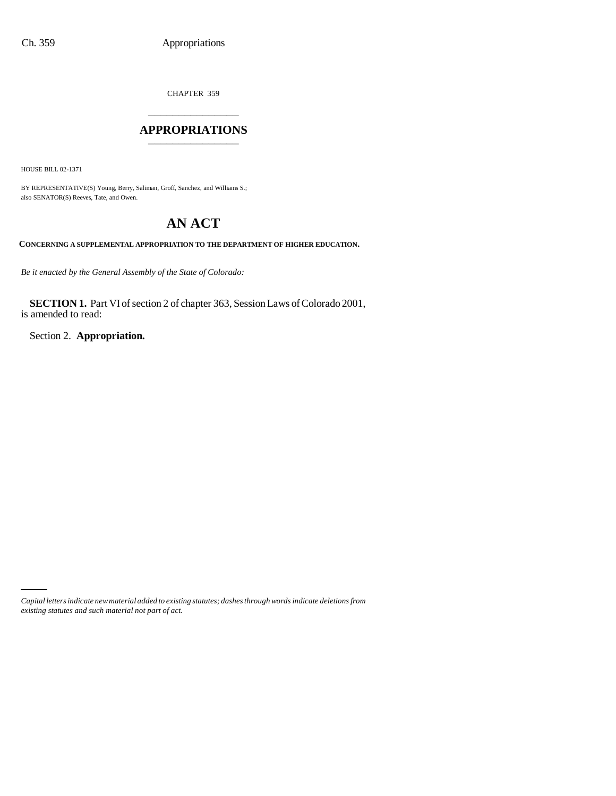CHAPTER 359 \_\_\_\_\_\_\_\_\_\_\_\_\_\_\_

## **APPROPRIATIONS** \_\_\_\_\_\_\_\_\_\_\_\_\_\_\_

HOUSE BILL 02-1371

BY REPRESENTATIVE(S) Young, Berry, Saliman, Groff, Sanchez, and Williams S.; also SENATOR(S) Reeves, Tate, and Owen.

# **AN ACT**

**CONCERNING A SUPPLEMENTAL APPROPRIATION TO THE DEPARTMENT OF HIGHER EDUCATION.**

*Be it enacted by the General Assembly of the State of Colorado:*

**SECTION 1.** Part VI of section 2 of chapter 363, Session Laws of Colorado 2001, is amended to read:

Section 2. **Appropriation.**

*Capital letters indicate new material added to existing statutes; dashes through words indicate deletions from existing statutes and such material not part of act.*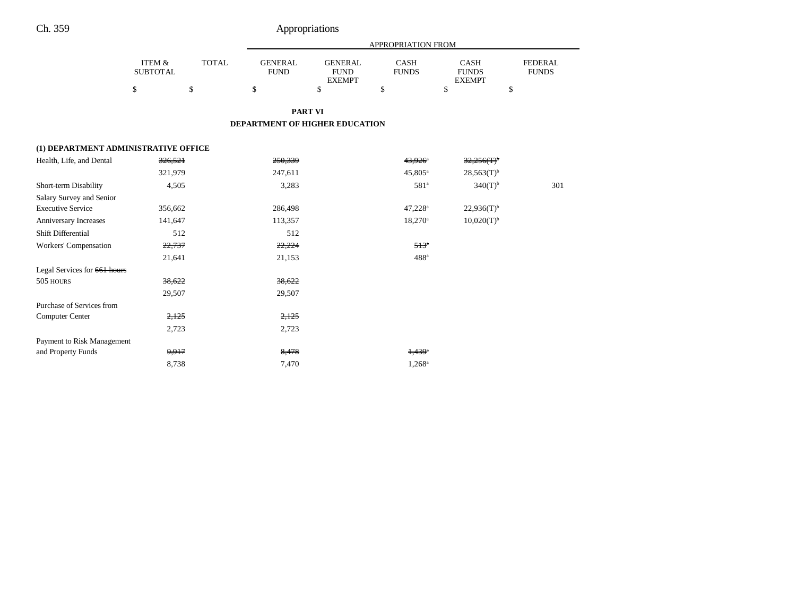|                                      |                           |              |                                |                                                | APPROPRIATION FROM          |                                              |                                |
|--------------------------------------|---------------------------|--------------|--------------------------------|------------------------------------------------|-----------------------------|----------------------------------------------|--------------------------------|
|                                      | ITEM &<br><b>SUBTOTAL</b> | <b>TOTAL</b> | <b>GENERAL</b><br><b>FUND</b>  | <b>GENERAL</b><br><b>FUND</b><br><b>EXEMPT</b> | <b>CASH</b><br><b>FUNDS</b> | <b>CASH</b><br><b>FUNDS</b><br><b>EXEMPT</b> | <b>FEDERAL</b><br><b>FUNDS</b> |
|                                      | \$                        | \$           | \$                             | \$                                             | \$                          | \$                                           | \$                             |
|                                      |                           |              |                                | <b>PART VI</b>                                 |                             |                                              |                                |
|                                      |                           |              | DEPARTMENT OF HIGHER EDUCATION |                                                |                             |                                              |                                |
| (1) DEPARTMENT ADMINISTRATIVE OFFICE |                           |              |                                |                                                |                             |                                              |                                |
| Health, Life, and Dental             | 326,521                   |              | 250,339                        |                                                | 43,926 <sup>a</sup>         | $32,256(T)$ <sup>b</sup>                     |                                |
|                                      | 321,979                   |              | 247,611                        |                                                | $45,805^{\rm a}$            | $28,563(T)$ <sup>b</sup>                     |                                |
| Short-term Disability                | 4,505                     |              | 3,283                          |                                                | 581 <sup>a</sup>            | $340(T)$ <sup>b</sup>                        | 301                            |
| Salary Survey and Senior             |                           |              |                                |                                                |                             |                                              |                                |
| <b>Executive Service</b>             | 356,662                   |              | 286,498                        |                                                | 47,228 <sup>a</sup>         | $22,936(T)$ <sup>b</sup>                     |                                |
| Anniversary Increases                | 141,647                   |              | 113,357                        |                                                | $18,270^{\circ}$            | $10,020(T)^{b}$                              |                                |
| Shift Differential                   | 512                       |              | 512                            |                                                |                             |                                              |                                |
| Workers' Compensation                | 22,737                    |              | 22,224                         |                                                | 513 <sup>°</sup>            |                                              |                                |
|                                      | 21,641                    |              | 21,153                         |                                                | 488 <sup>a</sup>            |                                              |                                |
| Legal Services for 661 hours         |                           |              |                                |                                                |                             |                                              |                                |
| 505 HOURS                            | 38,622                    |              | 38,622                         |                                                |                             |                                              |                                |
|                                      | 29,507                    |              | 29,507                         |                                                |                             |                                              |                                |
| Purchase of Services from            |                           |              |                                |                                                |                             |                                              |                                |
| <b>Computer Center</b>               | 2,125                     |              | 2,125                          |                                                |                             |                                              |                                |
|                                      | 2,723                     |              | 2,723                          |                                                |                             |                                              |                                |
| Payment to Risk Management           |                           |              |                                |                                                |                             |                                              |                                |
| and Property Funds                   | 9,917                     |              | 8,478                          |                                                | $1,439$ <sup>a</sup>        |                                              |                                |
|                                      | 8,738                     |              | 7,470                          |                                                | $1,268^a$                   |                                              |                                |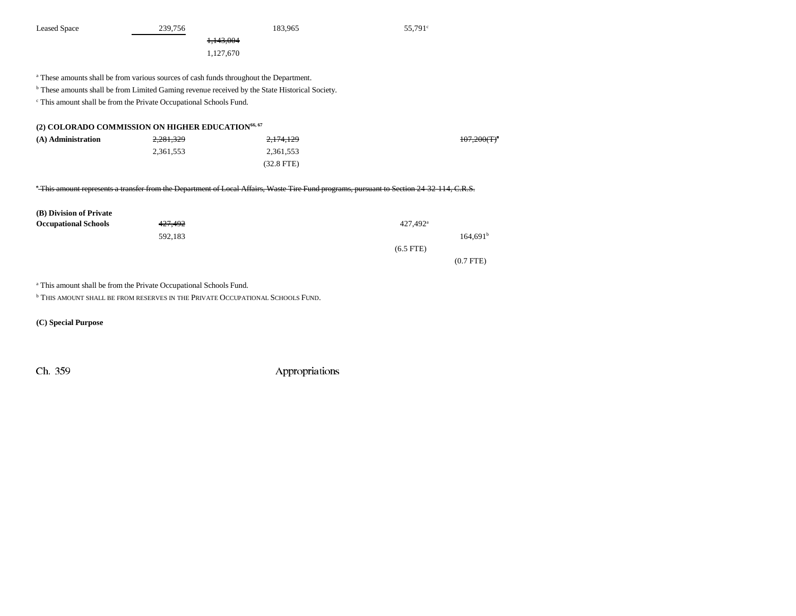| <b>Leased Space</b>                                                                       | 239,756                                                                                                   | 183,965                                                                                                                                  | 55,791°                |  |  |  |
|-------------------------------------------------------------------------------------------|-----------------------------------------------------------------------------------------------------------|------------------------------------------------------------------------------------------------------------------------------------------|------------------------|--|--|--|
|                                                                                           | 1,143,004                                                                                                 |                                                                                                                                          |                        |  |  |  |
|                                                                                           | 1,127,670                                                                                                 |                                                                                                                                          |                        |  |  |  |
|                                                                                           |                                                                                                           |                                                                                                                                          |                        |  |  |  |
|                                                                                           | <sup>a</sup> These amounts shall be from various sources of cash funds throughout the Department.         |                                                                                                                                          |                        |  |  |  |
|                                                                                           | <sup>b</sup> These amounts shall be from Limited Gaming revenue received by the State Historical Society. |                                                                                                                                          |                        |  |  |  |
|                                                                                           | <sup>c</sup> This amount shall be from the Private Occupational Schools Fund.                             |                                                                                                                                          |                        |  |  |  |
|                                                                                           |                                                                                                           |                                                                                                                                          |                        |  |  |  |
|                                                                                           | (2) COLORADO COMMISSION ON HIGHER EDUCATION <sup>66, 67</sup>                                             |                                                                                                                                          |                        |  |  |  |
| (A) Administration                                                                        | 2,281,329                                                                                                 | 2,174,129                                                                                                                                | $107.200(T)^4$         |  |  |  |
|                                                                                           | 2,361,553                                                                                                 | 2,361,553                                                                                                                                |                        |  |  |  |
|                                                                                           |                                                                                                           | $(32.8$ FTE)                                                                                                                             |                        |  |  |  |
|                                                                                           |                                                                                                           |                                                                                                                                          |                        |  |  |  |
|                                                                                           |                                                                                                           | "This amount represents a transfer from the Department of Local Affairs, Waste Tire Fund programs, pursuant to Section 24 32 114, C.R.S. |                        |  |  |  |
|                                                                                           |                                                                                                           |                                                                                                                                          |                        |  |  |  |
| (B) Division of Private                                                                   |                                                                                                           |                                                                                                                                          |                        |  |  |  |
| <b>Occupational Schools</b>                                                               | 427,492                                                                                                   |                                                                                                                                          | $427,492$ <sup>a</sup> |  |  |  |
|                                                                                           | 592,183                                                                                                   |                                                                                                                                          | $164,691^b$            |  |  |  |
|                                                                                           |                                                                                                           |                                                                                                                                          | $(6.5$ FTE)            |  |  |  |
|                                                                                           |                                                                                                           |                                                                                                                                          | $(0.7$ FTE)            |  |  |  |
|                                                                                           |                                                                                                           |                                                                                                                                          |                        |  |  |  |
|                                                                                           | <sup>a</sup> This amount shall be from the Private Occupational Schools Fund.                             |                                                                                                                                          |                        |  |  |  |
| <sup>b</sup> THIS AMOUNT SHALL BE FROM RESERVES IN THE PRIVATE OCCUPATIONAL SCHOOLS FUND. |                                                                                                           |                                                                                                                                          |                        |  |  |  |

**(C) Special Purpose**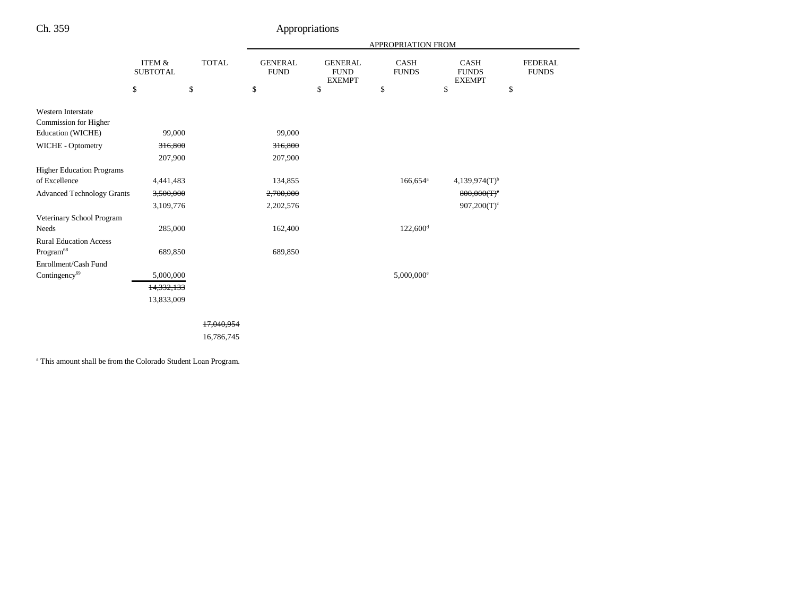|                                   |                           |              |                               |                                                | APPROPRIATION FROM       |                                       |                                |
|-----------------------------------|---------------------------|--------------|-------------------------------|------------------------------------------------|--------------------------|---------------------------------------|--------------------------------|
|                                   | ITEM &<br><b>SUBTOTAL</b> | <b>TOTAL</b> | <b>GENERAL</b><br><b>FUND</b> | <b>GENERAL</b><br><b>FUND</b><br><b>EXEMPT</b> | CASH<br><b>FUNDS</b>     | CASH<br><b>FUNDS</b><br><b>EXEMPT</b> | <b>FEDERAL</b><br><b>FUNDS</b> |
|                                   | \$                        | $\$$         | \$                            | \$                                             | \$                       | $\$$                                  | \$                             |
| Western Interstate                |                           |              |                               |                                                |                          |                                       |                                |
| Commission for Higher             |                           |              |                               |                                                |                          |                                       |                                |
| Education (WICHE)                 | 99,000                    |              | 99,000                        |                                                |                          |                                       |                                |
| WICHE - Optometry                 | 316,800                   |              | 316,800                       |                                                |                          |                                       |                                |
|                                   | 207,900                   |              | 207,900                       |                                                |                          |                                       |                                |
| <b>Higher Education Programs</b>  |                           |              |                               |                                                |                          |                                       |                                |
| of Excellence                     | 4,441,483                 |              | 134,855                       |                                                | $166,654$ <sup>a</sup>   | $4,139,974(T)$ <sup>b</sup>           |                                |
| <b>Advanced Technology Grants</b> | 3,500,000                 |              | 2,700,000                     |                                                |                          | 800,000(T)                            |                                |
|                                   | 3,109,776                 |              | 2,202,576                     |                                                |                          | $907,200(T)^c$                        |                                |
| Veterinary School Program         |                           |              |                               |                                                |                          |                                       |                                |
| Needs                             | 285,000                   |              | 162,400                       |                                                | $122,600$ <sup>d</sup>   |                                       |                                |
| <b>Rural Education Access</b>     |                           |              |                               |                                                |                          |                                       |                                |
| Program <sup>68</sup>             | 689,850                   |              | 689,850                       |                                                |                          |                                       |                                |
| Enrollment/Cash Fund              |                           |              |                               |                                                |                          |                                       |                                |
| Contingency <sup>69</sup>         | 5,000,000                 |              |                               |                                                | $5,000,000$ <sup>e</sup> |                                       |                                |
|                                   | 14,332,133                |              |                               |                                                |                          |                                       |                                |
|                                   | 13,833,009                |              |                               |                                                |                          |                                       |                                |
|                                   |                           |              |                               |                                                |                          |                                       |                                |
|                                   |                           | 17.040.954   |                               |                                                |                          |                                       |                                |
|                                   |                           | 16,786,745   |                               |                                                |                          |                                       |                                |
|                                   |                           |              |                               |                                                |                          |                                       |                                |

a This amount shall be from the Colorado Student Loan Program.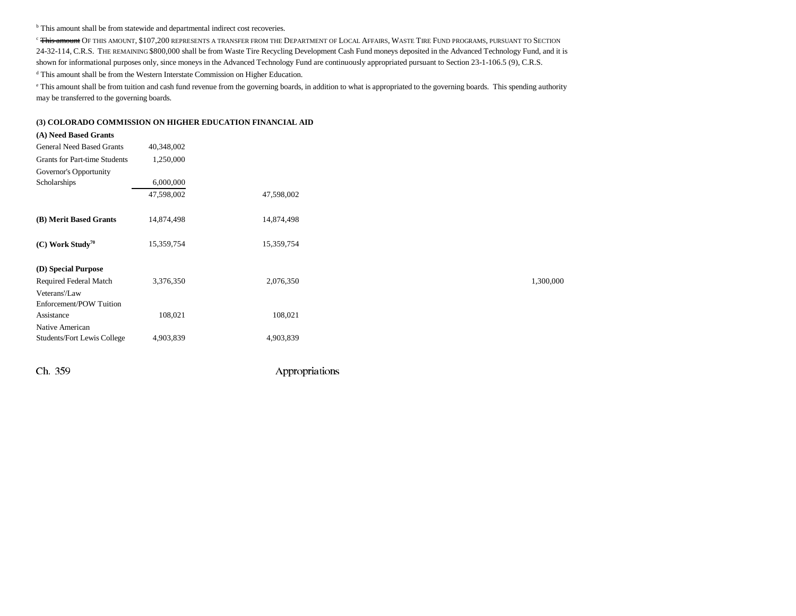b This amount shall be from statewide and departmental indirect cost recoveries.

<sup>c</sup> <del>This amount</del> Of this amount, \$107,200 represents a transfer from the Department of Local Affairs, Waste Tire Fund programs, pursuant to Section 24-32-114, C.R.S. THE REMAINING \$800,000 shall be from Waste Tire Recycling Development Cash Fund moneys deposited in the Advanced Technology Fund, and it is shown for informational purposes only, since moneys in the Advanced Technology Fund are continuously appropriated pursuant to Section 23-1-106.5 (9), C.R.S. d This amount shall be from the Western Interstate Commission on Higher Education.

e This amount shall be from tuition and cash fund revenue from the governing boards, in addition to what is appropriated to the governing boards. This spending authority may be transferred to the governing boards.

### **(3) COLORADO COMMISSION ON HIGHER EDUCATION FINANCIAL AID**

| (A) Need Based Grants                |            |            |           |
|--------------------------------------|------------|------------|-----------|
| <b>General Need Based Grants</b>     | 40,348,002 |            |           |
| <b>Grants for Part-time Students</b> | 1,250,000  |            |           |
| Governor's Opportunity               |            |            |           |
| Scholarships                         | 6,000,000  |            |           |
|                                      | 47,598,002 | 47,598,002 |           |
| (B) Merit Based Grants               | 14,874,498 | 14,874,498 |           |
| $(C)$ Work Study <sup>70</sup>       | 15,359,754 | 15,359,754 |           |
| (D) Special Purpose                  |            |            |           |
| Required Federal Match               | 3,376,350  | 2,076,350  | 1,300,000 |
| Veterans'/Law                        |            |            |           |
| Enforcement/POW Tuition              |            |            |           |
| Assistance                           | 108,021    | 108,021    |           |
| Native American                      |            |            |           |
| Students/Fort Lewis College          | 4,903,839  | 4,903,839  |           |
|                                      |            |            |           |
|                                      |            |            |           |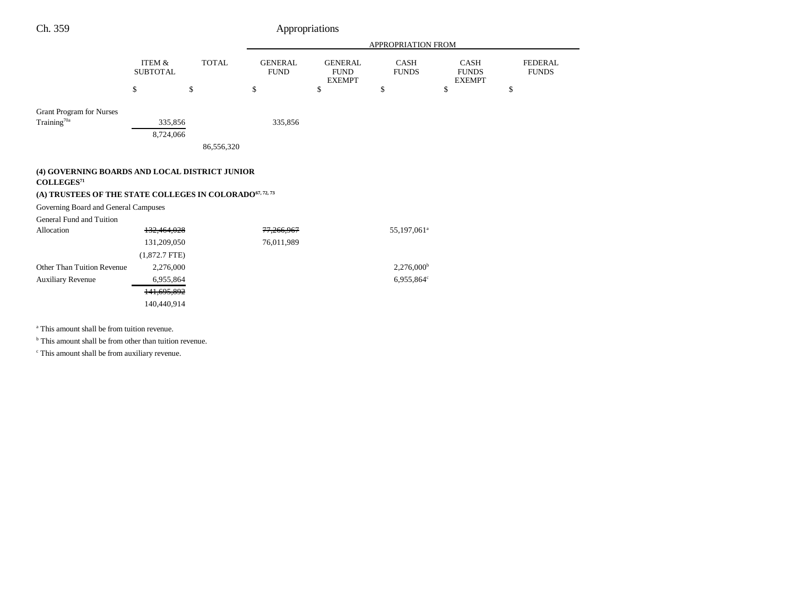| Ch. 359                                                                                                                                                                                                              |                                         |              |                               | Appropriations                                 |                             |                                              |                                |
|----------------------------------------------------------------------------------------------------------------------------------------------------------------------------------------------------------------------|-----------------------------------------|--------------|-------------------------------|------------------------------------------------|-----------------------------|----------------------------------------------|--------------------------------|
|                                                                                                                                                                                                                      |                                         |              |                               |                                                | APPROPRIATION FROM          |                                              |                                |
|                                                                                                                                                                                                                      | ITEM &<br><b>SUBTOTAL</b>               | <b>TOTAL</b> | <b>GENERAL</b><br><b>FUND</b> | <b>GENERAL</b><br><b>FUND</b><br><b>EXEMPT</b> | <b>CASH</b><br><b>FUNDS</b> | <b>CASH</b><br><b>FUNDS</b><br><b>EXEMPT</b> | <b>FEDERAL</b><br><b>FUNDS</b> |
|                                                                                                                                                                                                                      | \$                                      | \$           | \$                            | \$                                             | \$                          | \$                                           | \$                             |
| <b>Grant Program for Nurses</b><br>Training <sup>70a</sup>                                                                                                                                                           | 335,856                                 |              | 335,856                       |                                                |                             |                                              |                                |
|                                                                                                                                                                                                                      | 8,724,066                               | 86,556,320   |                               |                                                |                             |                                              |                                |
| (4) GOVERNING BOARDS AND LOCAL DISTRICT JUNIOR<br>COLLEGES <sup>71</sup><br>(A) TRUSTEES OF THE STATE COLLEGES IN COLORADO <sup>67, 72, 73</sup><br>Governing Board and General Campuses<br>General Fund and Tuition |                                         |              |                               |                                                |                             |                                              |                                |
| Allocation                                                                                                                                                                                                           | 132,464,028                             |              | 77,266,967                    |                                                | 55,197,061 <sup>a</sup>     |                                              |                                |
|                                                                                                                                                                                                                      | 131,209,050<br>$(1,872.7$ FTE)          |              | 76,011,989                    |                                                |                             |                                              |                                |
| Other Than Tuition Revenue                                                                                                                                                                                           | 2,276,000                               |              |                               |                                                | $2,276,000^{\rm b}$         |                                              |                                |
| <b>Auxiliary Revenue</b>                                                                                                                                                                                             | 6,955,864<br>141,695,892<br>140,440,914 |              |                               |                                                | 6,955,864°                  |                                              |                                |
|                                                                                                                                                                                                                      |                                         |              |                               |                                                |                             |                                              |                                |

a This amount shall be from tuition revenue.

<sup>b</sup> This amount shall be from other than tuition revenue.

c This amount shall be from auxiliary revenue.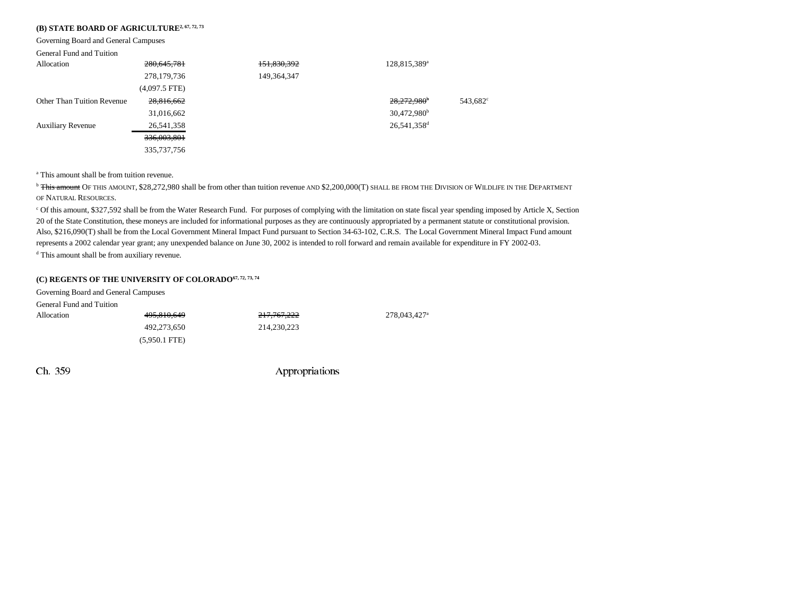### **(B) STATE BOARD OF AGRICULTURE<sup>2, 67, 72, 73</sup>**

Governing Board and General Campuses

### General Fund and Tuition

| Allocation                        | 280,645,781     | 151,830,392   | 128,815,389 <sup>a</sup> |                      |
|-----------------------------------|-----------------|---------------|--------------------------|----------------------|
|                                   | 278,179,736     | 149, 364, 347 |                          |                      |
|                                   | $(4,097.5$ FTE) |               |                          |                      |
| <b>Other Than Tuition Revenue</b> | 28,816,662      |               | 28,272,980 <sup>b</sup>  | 543,682 <sup>c</sup> |
|                                   | 31,016,662      |               | $30,472,980^{\rm b}$     |                      |
| <b>Auxiliary Revenue</b>          | 26,541,358      |               | 26,541,358 <sup>d</sup>  |                      |
|                                   | 336,003,801     |               |                          |                      |
|                                   | 335, 737, 756   |               |                          |                      |

<sup>a</sup> This amount shall be from tuition revenue.

<sup>b</sup> <del>This amount</del> Of this amount, \$28,272,980 shall be from other than tuition revenue and \$2,200,000(T) shall be from the Division of Wildlife in the Department OF NATURAL RESOURCES.

c Of this amount, \$327,592 shall be from the Water Research Fund. For purposes of complying with the limitation on state fiscal year spending imposed by Article X, Section 20 of the State Constitution, these moneys are included for informational purposes as they are continuously appropriated by a permanent statute or constitutional provision. Also, \$216,090(T) shall be from the Local Government Mineral Impact Fund pursuant to Section 34-63-102, C.R.S. The Local Government Mineral Impact Fund amount represents a 2002 calendar year grant; any unexpended balance on June 30, 2002 is intended to roll forward and remain available for expenditure in FY 2002-03.

d This amount shall be from auxiliary revenue.

### **(C) REGENTS OF THE UNIVERSITY OF COLORADO67, 72, 73, 74**

| Governing Board and General Campuses |                 |                        |             |
|--------------------------------------|-----------------|------------------------|-------------|
| General Fund and Tuition             |                 |                        |             |
| Allocation                           | 495,810,649     | <del>217,767,222</del> | 278,043,427 |
|                                      | 492,273,650     | 214.230.223            |             |
|                                      | $(5.950.1$ FTE) |                        |             |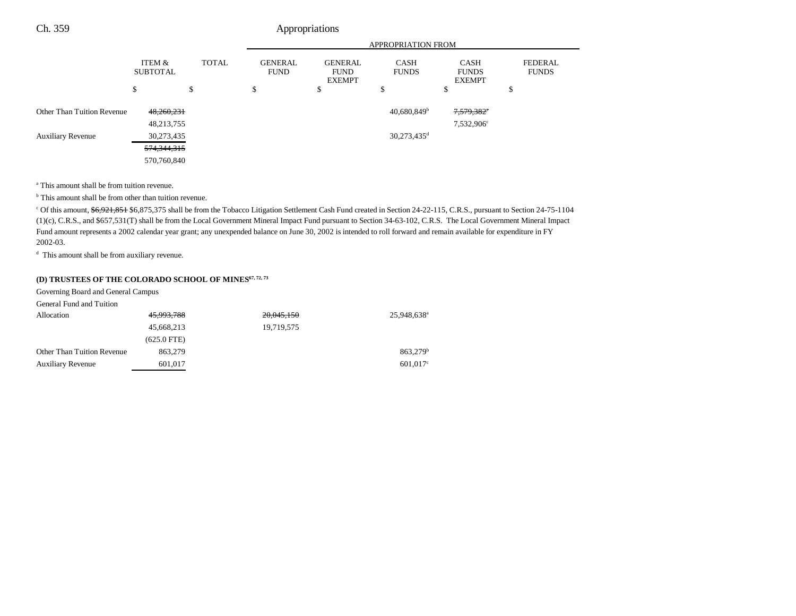|                            |                           |              | <b>APPROPRIATION FROM</b>     |                                                |                             |                                              |                                |
|----------------------------|---------------------------|--------------|-------------------------------|------------------------------------------------|-----------------------------|----------------------------------------------|--------------------------------|
|                            | ITEM &<br><b>SUBTOTAL</b> | <b>TOTAL</b> | <b>GENERAL</b><br><b>FUND</b> | <b>GENERAL</b><br><b>FUND</b><br><b>EXEMPT</b> | <b>CASH</b><br><b>FUNDS</b> | <b>CASH</b><br><b>FUNDS</b><br><b>EXEMPT</b> | <b>FEDERAL</b><br><b>FUNDS</b> |
|                            | \$                        | \$           | \$                            | \$                                             | \$                          | \$                                           | Φ                              |
| Other Than Tuition Revenue | 48,260,231                |              |                               |                                                | $40,680,849$ <sup>b</sup>   | 7,579,382°                                   |                                |
|                            | 48,213,755                |              |                               |                                                |                             | 7,532,906 <sup>c</sup>                       |                                |
| <b>Auxiliary Revenue</b>   | 30,273,435                |              |                               |                                                | $30,273,435$ <sup>d</sup>   |                                              |                                |
|                            | 574,344,315               |              |                               |                                                |                             |                                              |                                |
|                            | 570,760,840               |              |                               |                                                |                             |                                              |                                |

a This amount shall be from tuition revenue.

<sup>b</sup> This amount shall be from other than tuition revenue.

<sup>c</sup> Of this amount, \$6,921,851 \$6,875,375 shall be from the Tobacco Litigation Settlement Cash Fund created in Section 24-22-115, C.R.S., pursuant to Section 24-75-1104 (1)(c), C.R.S., and \$657,531(T) shall be from the Local Government Mineral Impact Fund pursuant to Section 34-63-102, C.R.S. The Local Government Mineral Impact Fund amount represents a 2002 calendar year grant; any unexpended balance on June 30, 2002 is intended to roll forward and remain available for expenditure in FY 2002-03.

<sup>d</sup> This amount shall be from auxiliary revenue.

## (D) TRUSTEES OF THE COLORADO SCHOOL OF MINES<sup>67, 72, 73</sup>

Governing Board and General Campus

| General Fund and Tuition   |               |            |                         |
|----------------------------|---------------|------------|-------------------------|
| Allocation                 | 45,993,788    | 20,045,150 | 25.948.638 <sup>a</sup> |
|                            | 45,668,213    | 19.719.575 |                         |
|                            | $(625.0$ FTE) |            |                         |
| Other Than Tuition Revenue | 863,279       |            | 863.279 <sup>b</sup>    |
| <b>Auxiliary Revenue</b>   | 601.017       |            | $601.017$ °             |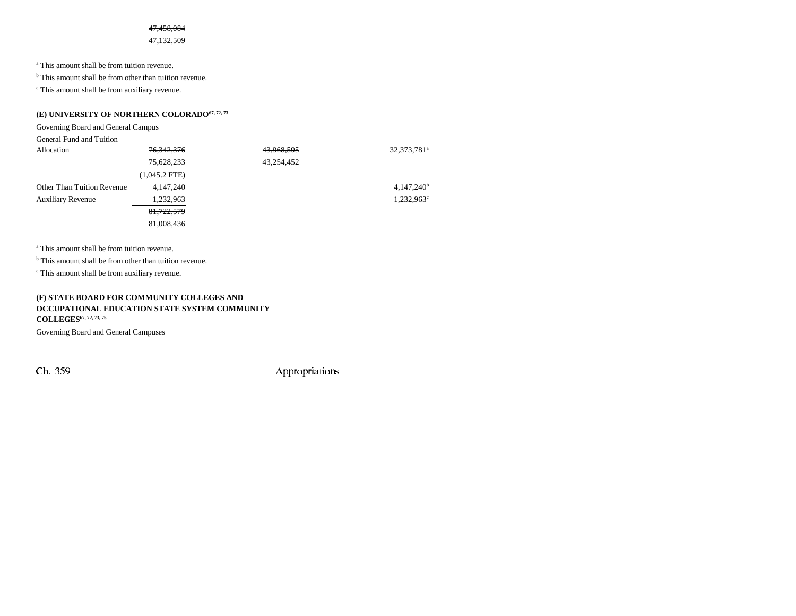### 47,458,084

47,132,509

a This amount shall be from tuition revenue.

<sup>b</sup> This amount shall be from other than tuition revenue.

c This amount shall be from auxiliary revenue.

## (E) UNIVERSITY OF NORTHERN COLORADO<sup>67, 72, 73</sup>

Governing Board and General Campus

| General Fund and Tuition          |                 |            |                         |
|-----------------------------------|-----------------|------------|-------------------------|
| Allocation                        | 76, 342, 376    | 43,968,595 | 32,373,781 <sup>a</sup> |
|                                   | 75,628,233      | 43,254,452 |                         |
|                                   | $(1,045.2$ FTE) |            |                         |
| <b>Other Than Tuition Revenue</b> | 4, 147, 240     |            | $4,147,240^b$           |
| <b>Auxiliary Revenue</b>          | 1,232,963       |            | $1,232,963^{\circ}$     |
|                                   | 81,722,579      |            |                         |
|                                   | 81,008,436      |            |                         |

a This amount shall be from tuition revenue.

<sup>b</sup> This amount shall be from other than tuition revenue.

c This amount shall be from auxiliary revenue.

### **(F) STATE BOARD FOR COMMUNITY COLLEGES AND OCCUPATIONAL EDUCATION STATE SYSTEM COMMUNITY COLLEGES67, 72, 73, 75**

Governing Board and General Campuses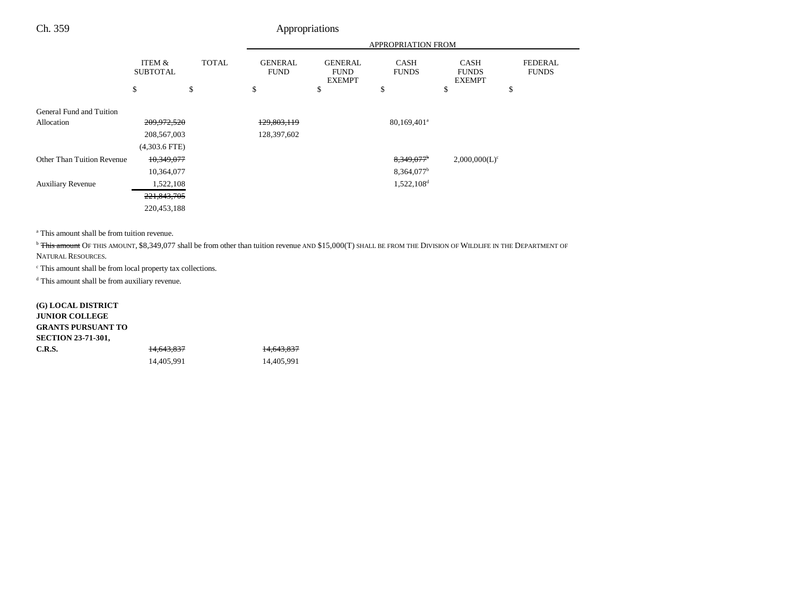|                            |                           |              | <b>APPROPRIATION FROM</b>     |                                                |                             |                                              |                                |
|----------------------------|---------------------------|--------------|-------------------------------|------------------------------------------------|-----------------------------|----------------------------------------------|--------------------------------|
|                            | ITEM &<br><b>SUBTOTAL</b> | <b>TOTAL</b> | <b>GENERAL</b><br><b>FUND</b> | <b>GENERAL</b><br><b>FUND</b><br><b>EXEMPT</b> | <b>CASH</b><br><b>FUNDS</b> | <b>CASH</b><br><b>FUNDS</b><br><b>EXEMPT</b> | <b>FEDERAL</b><br><b>FUNDS</b> |
|                            | \$                        | \$           | \$                            | \$                                             | \$                          | \$                                           | \$                             |
| General Fund and Tuition   |                           |              |                               |                                                |                             |                                              |                                |
| Allocation                 | 209,972,520               |              | 129,803,119                   |                                                | 80,169,401 <sup>a</sup>     |                                              |                                |
|                            | 208, 567, 003             |              | 128,397,602                   |                                                |                             |                                              |                                |
|                            | $(4,303.6$ FTE)           |              |                               |                                                |                             |                                              |                                |
| Other Than Tuition Revenue | 10,349,077                |              |                               |                                                | 8,349,077 <sup>b</sup>      | $2,000,000(L)^c$                             |                                |
|                            | 10,364,077                |              |                               |                                                | 8,364,077 <sup>b</sup>      |                                              |                                |
| <b>Auxiliary Revenue</b>   | 1,522,108                 |              |                               |                                                | 1,522,108 <sup>d</sup>      |                                              |                                |
|                            | 221,843,705               |              |                               |                                                |                             |                                              |                                |
|                            | 220,453,188               |              |                               |                                                |                             |                                              |                                |

a This amount shall be from tuition revenue.

<sup>b</sup> This amount OF THIS AMOUNT, \$8,349,077 shall be from other than tuition revenue AND \$15,000(T) SHALL BE FROM THE DIVISION OF WILDLIFE IN THE DEPARTMENT OF

NATURAL RESOURCES.

c This amount shall be from local property tax collections.

d This amount shall be from auxiliary revenue.

| <b>G) LOCAL DISTRICT</b>  |            |                       |
|---------------------------|------------|-----------------------|
| <b>JUNIOR COLLEGE</b>     |            |                       |
| <b>GRANTS PURSUANT TO</b> |            |                       |
| <b>SECTION 23-71-301,</b> |            |                       |
| C.R.S.                    | 14.643.837 | <del>14,643,837</del> |
|                           | 14.405.991 | 14.405.991            |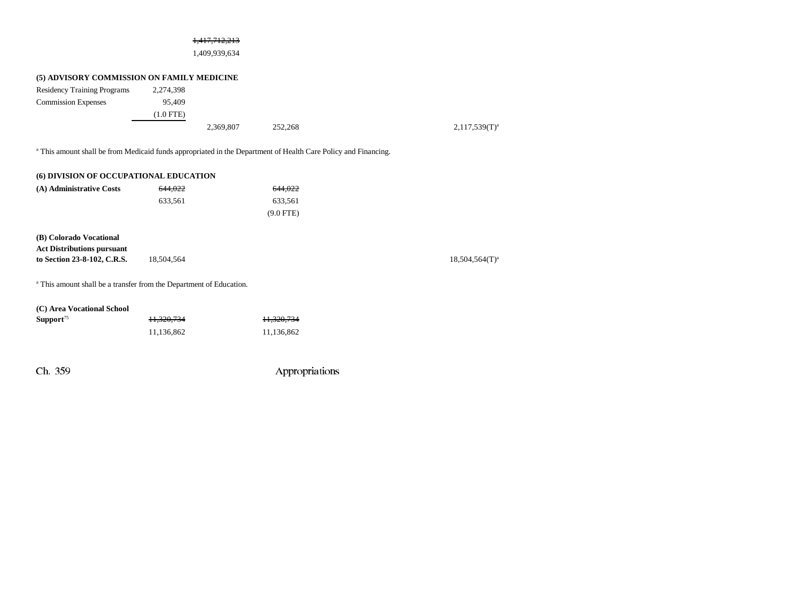### 1,417,712,213

1,409,939,634

## **(5) ADVISORY COMMISSION ON FAMILY MEDICINE**

| 2,274,398   |           |         |  |
|-------------|-----------|---------|--|
| 95,409      |           |         |  |
| $(1.0$ FTE) |           |         |  |
|             | 2,369,807 | 252,268 |  |
|             |           |         |  |
|             |           |         |  |

<sup>a</sup> This amount shall be from Medicaid funds appropriated in the Department of Health Care Policy and Financing.

| (6) DIVISION OF OCCUPATIONAL EDUCATION |         |             |  |  |
|----------------------------------------|---------|-------------|--|--|
| (A) Administrative Costs               | 644.022 | 644.022     |  |  |
|                                        | 633.561 | 633.561     |  |  |
|                                        |         | $(9.0$ FTE) |  |  |
|                                        |         |             |  |  |

**(B) Colorado Vocational Act Distributions pursuant to Section 23-8-102, C.R.S.** 18,504,564 18,504,564 18,504,564 T and 18,504,564 T and 18,504,564 18,504,564 T and 18,504,564 T and 18,504,564 T and 18,504,564 T and 18,504,564 T and 18,504,564 T and 18,504,564 T and 18,504

 $2,117,539(T)^{a}$ 

a This amount shall be a transfer from the Department of Education.

| (C) Area Vocational School |            |
|----------------------------|------------|
| Support <sup>75</sup>      | 11.320.734 |

Ch. 359 Appropriations

**Support**<sup>75</sup> 11,320,734 11,320,734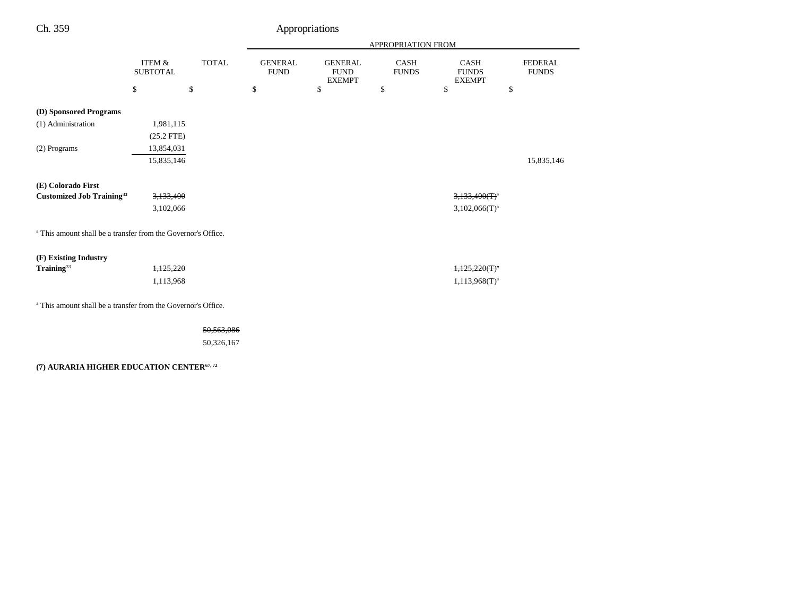|                                                                          |                                      |              |                               |                                                | APPROPRIATION FROM   |                                              |                                |
|--------------------------------------------------------------------------|--------------------------------------|--------------|-------------------------------|------------------------------------------------|----------------------|----------------------------------------------|--------------------------------|
|                                                                          | <b>ITEM &amp;</b><br><b>SUBTOTAL</b> | <b>TOTAL</b> | <b>GENERAL</b><br><b>FUND</b> | <b>GENERAL</b><br><b>FUND</b><br><b>EXEMPT</b> | CASH<br><b>FUNDS</b> | <b>CASH</b><br><b>FUNDS</b><br><b>EXEMPT</b> | <b>FEDERAL</b><br><b>FUNDS</b> |
|                                                                          | \$                                   | \$           | \$                            | \$                                             | \$                   | \$                                           | \$                             |
| (D) Sponsored Programs                                                   |                                      |              |                               |                                                |                      |                                              |                                |
| (1) Administration                                                       | 1,981,115                            |              |                               |                                                |                      |                                              |                                |
|                                                                          | $(25.2$ FTE)                         |              |                               |                                                |                      |                                              |                                |
| (2) Programs                                                             | 13,854,031                           |              |                               |                                                |                      |                                              |                                |
|                                                                          | 15,835,146                           |              |                               |                                                |                      |                                              | 15,835,146                     |
|                                                                          |                                      |              |                               |                                                |                      |                                              |                                |
| (E) Colorado First                                                       |                                      |              |                               |                                                |                      |                                              |                                |
| <b>Customized Job Training</b> 33                                        | 3,133,400                            |              |                               |                                                |                      | $3,133,400(T)^{a}$                           |                                |
|                                                                          | 3,102,066                            |              |                               |                                                |                      | $3,102,066(T)^a$                             |                                |
|                                                                          |                                      |              |                               |                                                |                      |                                              |                                |
| <sup>a</sup> This amount shall be a transfer from the Governor's Office. |                                      |              |                               |                                                |                      |                                              |                                |
|                                                                          |                                      |              |                               |                                                |                      |                                              |                                |
| (F) Existing Industry                                                    |                                      |              |                               |                                                |                      |                                              |                                |
| Training <sup>33</sup>                                                   | 1,125,220                            |              |                               |                                                |                      | $1,125,220(T)^{a}$                           |                                |
|                                                                          | 1,113,968                            |              |                               |                                                |                      | $1,113,968(T)^{a}$                           |                                |
|                                                                          |                                      |              |                               |                                                |                      |                                              |                                |
| <sup>a</sup> This amount shall be a transfer from the Governor's Office. |                                      |              |                               |                                                |                      |                                              |                                |
|                                                                          |                                      |              |                               |                                                |                      |                                              |                                |
|                                                                          |                                      | 50,563,086   |                               |                                                |                      |                                              |                                |
|                                                                          |                                      | 50,326,167   |                               |                                                |                      |                                              |                                |

## **(7) AURARIA HIGHER EDUCATION CENTER67, 72**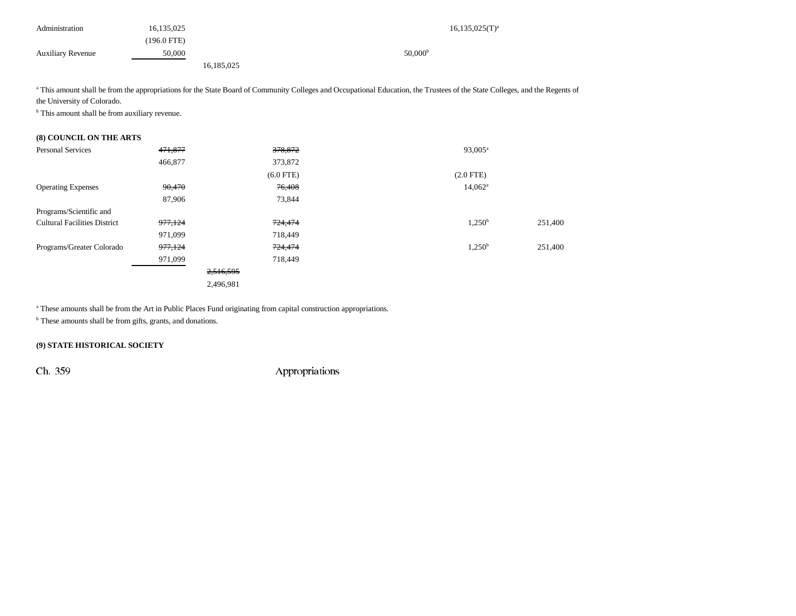| Administration           | 16,135,025  | $16, 135, 025$ (T) <sup>a</sup> |
|--------------------------|-------------|---------------------------------|
|                          | (196.0 FTE) |                                 |
| <b>Auxiliary Revenue</b> | 50,000      | $50,000^{\rm b}$                |
|                          |             | 16,185,025                      |

<sup>a</sup> This amount shall be from the appropriations for the State Board of Community Colleges and Occupational Education, the Trustees of the State Colleges, and the Regents of the University of Colorado.

<sup>b</sup> This amount shall be from auxiliary revenue.

### **(8) COUNCIL ON THE ARTS**

| <b>Personal Services</b>            | 471,877            | 378,872            | $93,005^{\rm a}$ |         |
|-------------------------------------|--------------------|--------------------|------------------|---------|
|                                     | 466,877            | 373,872            |                  |         |
|                                     |                    | $(6.0$ FTE)        | $(2.0$ FTE)      |         |
| <b>Operating Expenses</b>           | 90,470             | 76,408             | $14,062^{\circ}$ |         |
|                                     | 87,906             | 73,844             |                  |         |
| Programs/Scientific and             |                    |                    |                  |         |
| <b>Cultural Facilities District</b> | 977,124            | 724,474            | $1,250^{\rm b}$  | 251,400 |
|                                     | 971,099            | 718,449            |                  |         |
| Programs/Greater Colorado           | <del>977,124</del> | <del>724,474</del> | $1,250^{\rm b}$  | 251,400 |
|                                     | 971,099            | 718,449            |                  |         |
|                                     |                    | 2,516,595          |                  |         |
|                                     |                    | 2,496,981          |                  |         |

<sup>a</sup> These amounts shall be from the Art in Public Places Fund originating from capital construction appropriations.

<sup>b</sup> These amounts shall be from gifts, grants, and donations.

## **(9) STATE HISTORICAL SOCIETY**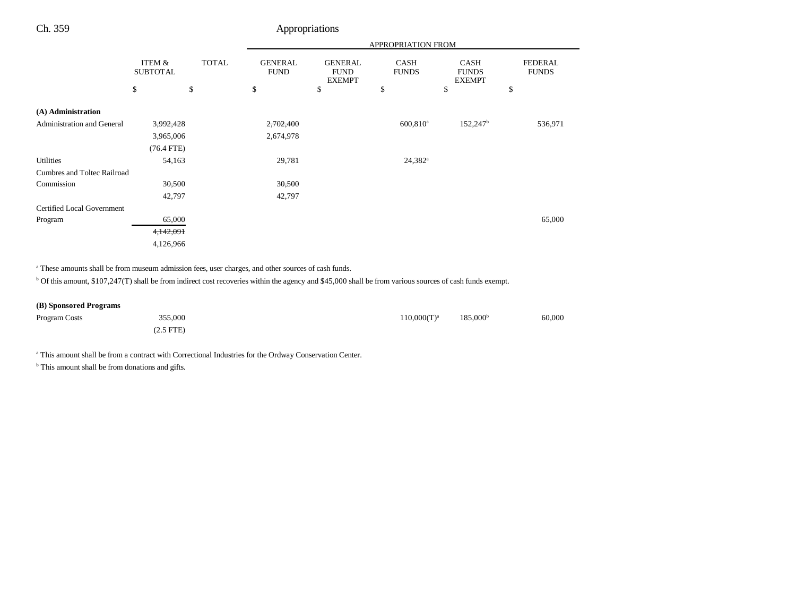|                                   |                           |              |                               |                                                | <b>APPROPRIATION FROM</b>   |                                              |                                |
|-----------------------------------|---------------------------|--------------|-------------------------------|------------------------------------------------|-----------------------------|----------------------------------------------|--------------------------------|
|                                   | ITEM &<br><b>SUBTOTAL</b> | <b>TOTAL</b> | <b>GENERAL</b><br><b>FUND</b> | <b>GENERAL</b><br><b>FUND</b><br><b>EXEMPT</b> | <b>CASH</b><br><b>FUNDS</b> | <b>CASH</b><br><b>FUNDS</b><br><b>EXEMPT</b> | <b>FEDERAL</b><br><b>FUNDS</b> |
|                                   | \$                        | \$           | \$                            | \$                                             | \$                          | \$                                           | \$                             |
| (A) Administration                |                           |              |                               |                                                |                             |                                              |                                |
| <b>Administration and General</b> | 3,992,428                 |              | 2,702,400                     |                                                | $600,810$ <sup>a</sup>      | 152,247 <sup>b</sup>                         | 536,971                        |
|                                   | 3,965,006                 |              | 2,674,978                     |                                                |                             |                                              |                                |
|                                   | $(76.4$ FTE)              |              |                               |                                                |                             |                                              |                                |
| <b>Utilities</b>                  | 54,163                    |              | 29,781                        |                                                | $24,382^a$                  |                                              |                                |
| Cumbres and Toltec Railroad       |                           |              |                               |                                                |                             |                                              |                                |
| Commission                        | 30,500                    |              | 30,500                        |                                                |                             |                                              |                                |
|                                   | 42,797                    |              | 42,797                        |                                                |                             |                                              |                                |
| Certified Local Government        |                           |              |                               |                                                |                             |                                              |                                |
| Program                           | 65,000                    |              |                               |                                                |                             |                                              | 65,000                         |
|                                   | 4,142,091                 |              |                               |                                                |                             |                                              |                                |
|                                   | 4,126,966                 |              |                               |                                                |                             |                                              |                                |

a These amounts shall be from museum admission fees, user charges, and other sources of cash funds.

<sup>b</sup> Of this amount, \$107,247(T) shall be from indirect cost recoveries within the agency and \$45,000 shall be from various sources of cash funds exempt.

| (B) Sponsored Programs |             |                |                      |        |
|------------------------|-------------|----------------|----------------------|--------|
| Program Costs          | 355,000     | $110,000(T)^a$ | 185.000 <sup>b</sup> | 60,000 |
|                        | $(2.5$ FTE) |                |                      |        |

a This amount shall be from a contract with Correctional Industries for the Ordway Conservation Center.

<sup>b</sup> This amount shall be from donations and gifts.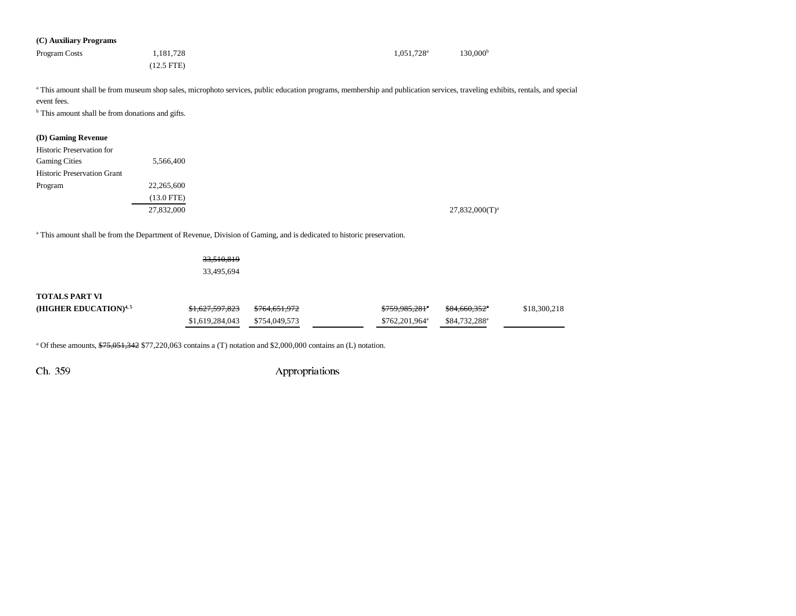| (C) Auxiliary Programs |              |                          |                      |
|------------------------|--------------|--------------------------|----------------------|
| Program Costs          | 1,181,728    | $1.051.728$ <sup>a</sup> | 130.000 <sup>b</sup> |
|                        | $(12.5$ FTE) |                          |                      |

<sup>a</sup> This amount shall be from museum shop sales, microphoto services, public education programs, membership and publication services, traveling exhibits, rentals, and special event fees.

<sup>b</sup> This amount shall be from donations and gifts.

### **(D) Gaming Revenue**

| <b>Historic Preservation for</b><br><b>Gaming Cities</b> | 5,566,400    |
|----------------------------------------------------------|--------------|
| <b>Historic Preservation Grant</b>                       |              |
| Program                                                  | 22,265,600   |
|                                                          | $(13.0$ FTE) |
|                                                          | 27,832,000   |

a This amount shall be from the Department of Revenue, Division of Gaming, and is dedicated to historic preservation.

| <del>33,510,819</del> |
|-----------------------|
| 33,495,694            |

### **TOTALS PART VI**

| (HIGHER EDUCATION) $4,5$ | <del>\$1.627.597.823</del> | <del>\$764,651,972</del> | \$759,985,281 <sup>a</sup> | <del>\$84.660.352</del> * | \$18,300,218 |
|--------------------------|----------------------------|--------------------------|----------------------------|---------------------------|--------------|
|                          | \$1,619,284,043            | \$754,049,573            | $$762,201,964^a$           | \$84,732,288 <sup>a</sup> |              |

<sup>a</sup> Of these amounts,  $\frac{$75,051,342}{$77,220,063}$  contains a (T) notation and \$2,000,000 contains an (L) notation.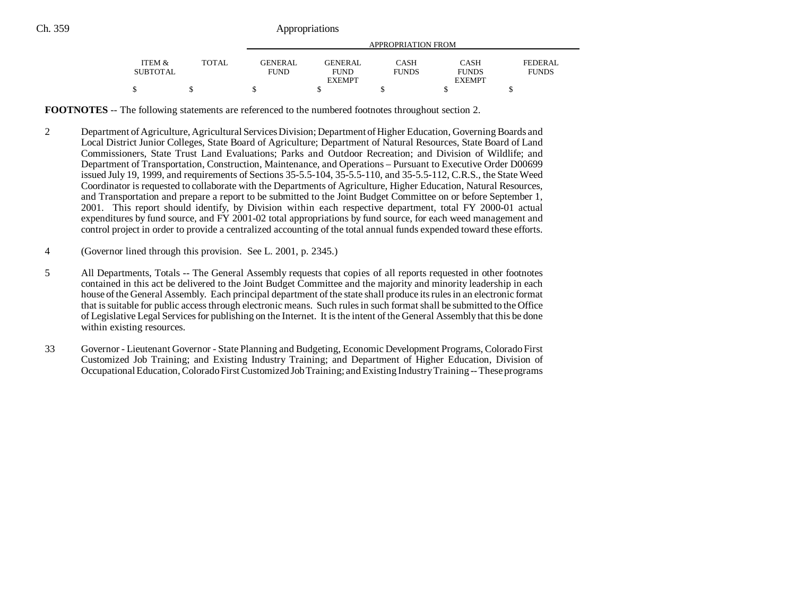|                 |              | APPROPRIATION FROM |                |              |               |              |
|-----------------|--------------|--------------------|----------------|--------------|---------------|--------------|
| ITEM &          | <b>TOTAL</b> | GENERAL            | <b>GENERAL</b> | CASH         | CASH          | FEDERAL      |
| <b>SUBTOTAL</b> |              | <b>FUND</b>        | <b>FUND</b>    | <b>FUNDS</b> | <b>FUNDS</b>  | <b>FUNDS</b> |
|                 |              |                    | <b>EXEMPT</b>  |              | <b>EXEMPT</b> |              |
| \$              |              |                    |                |              |               |              |

**FOOTNOTES** -- The following statements are referenced to the numbered footnotes throughout section 2.

- 2 Department of Agriculture, Agricultural Services Division; Department of Higher Education, Governing Boards and Local District Junior Colleges, State Board of Agriculture; Department of Natural Resources, State Board of Land Commissioners, State Trust Land Evaluations; Parks and Outdoor Recreation; and Division of Wildlife; and Department of Transportation, Construction, Maintenance, and Operations – Pursuant to Executive Order D00699 issued July 19, 1999, and requirements of Sections 35-5.5-104, 35-5.5-110, and 35-5.5-112, C.R.S., the State Weed Coordinator is requested to collaborate with the Departments of Agriculture, Higher Education, Natural Resources, and Transportation and prepare a report to be submitted to the Joint Budget Committee on or before September 1, 2001. This report should identify, by Division within each respective department, total FY 2000-01 actual expenditures by fund source, and FY 2001-02 total appropriations by fund source, for each weed management and control project in order to provide a centralized accounting of the total annual funds expended toward these efforts.
- 4 (Governor lined through this provision. See L. 2001, p. 2345.)
- 5 All Departments, Totals -- The General Assembly requests that copies of all reports requested in other footnotes contained in this act be delivered to the Joint Budget Committee and the majority and minority leadership in each house of the General Assembly. Each principal department of the state shall produce its rules in an electronic format that is suitable for public access through electronic means. Such rules in such format shall be submitted to the Office of Legislative Legal Services for publishing on the Internet. It is the intent of the General Assembly that this be done within existing resources.
- 33 Governor Lieutenant Governor State Planning and Budgeting, Economic Development Programs, Colorado First Customized Job Training; and Existing Industry Training; and Department of Higher Education, Division of Occupational Education, Colorado First Customized Job Training; and Existing Industry Training -- These programs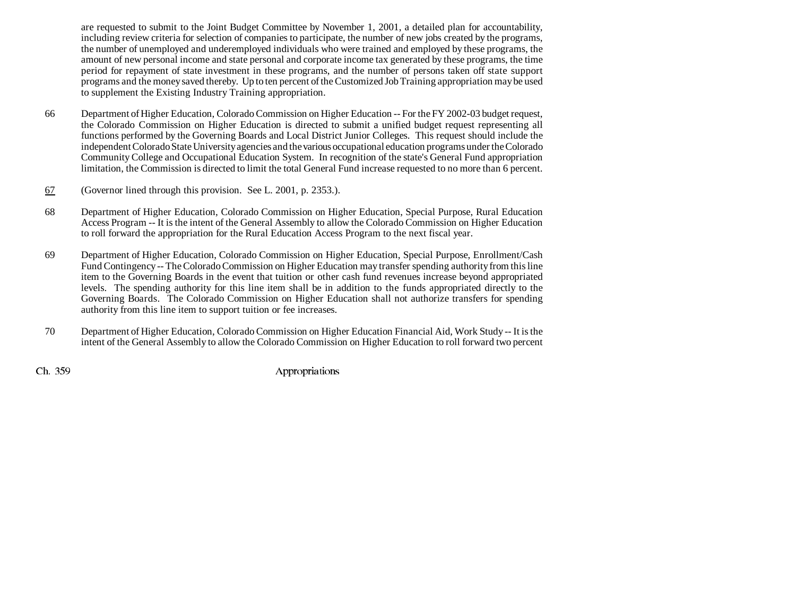are requested to submit to the Joint Budget Committee by November 1, 2001, a detailed plan for accountability, including review criteria for selection of companies to participate, the number of new jobs created by the programs, the number of unemployed and underemployed individuals who were trained and employed by these programs, the amount of new personal income and state personal and corporate income tax generated by these programs, the time period for repayment of state investment in these programs, and the number of persons taken off state support programs and the money saved thereby. Up to ten percent of the Customized Job Training appropriation may be used to supplement the Existing Industry Training appropriation.

- 66 Department of Higher Education, Colorado Commission on Higher Education -- For the FY 2002-03 budget request, the Colorado Commission on Higher Education is directed to submit a unified budget request representing all functions performed by the Governing Boards and Local District Junior Colleges. This request should include the independent Colorado State University agencies and the various occupational education programs under the Colorado Community College and Occupational Education System. In recognition of the state's General Fund appropriation limitation, the Commission is directed to limit the total General Fund increase requested to no more than 6 percent.
- 67(Governor lined through this provision. See L. 2001, p. 2353.).
- 68 Department of Higher Education, Colorado Commission on Higher Education, Special Purpose, Rural Education Access Program -- It is the intent of the General Assembly to allow the Colorado Commission on Higher Education to roll forward the appropriation for the Rural Education Access Program to the next fiscal year.
- 69 Department of Higher Education, Colorado Commission on Higher Education, Special Purpose, Enrollment/Cash Fund Contingency -- The Colorado Commission on Higher Education may transfer spending authority from this line item to the Governing Boards in the event that tuition or other cash fund revenues increase beyond appropriated levels. The spending authority for this line item shall be in addition to the funds appropriated directly to the Governing Boards. The Colorado Commission on Higher Education shall not authorize transfers for spending authority from this line item to support tuition or fee increases.
- 70 Department of Higher Education, Colorado Commission on Higher Education Financial Aid, Work Study -- It is the intent of the General Assembly to allow the Colorado Commission on Higher Education to roll forward two percent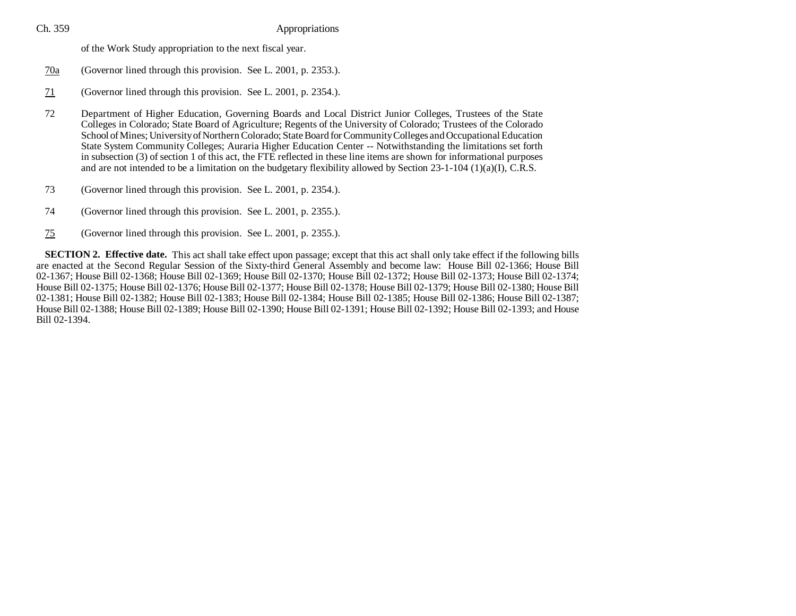| Ch. 359 | Appropriations                                                                                                                                                                                                                                                                                                                                                                                                                                                                                                                                                                                                                                                                                                      |
|---------|---------------------------------------------------------------------------------------------------------------------------------------------------------------------------------------------------------------------------------------------------------------------------------------------------------------------------------------------------------------------------------------------------------------------------------------------------------------------------------------------------------------------------------------------------------------------------------------------------------------------------------------------------------------------------------------------------------------------|
|         | of the Work Study appropriation to the next fiscal year.                                                                                                                                                                                                                                                                                                                                                                                                                                                                                                                                                                                                                                                            |
| 70a     | (Governor lined through this provision. See L. 2001, p. 2353.).                                                                                                                                                                                                                                                                                                                                                                                                                                                                                                                                                                                                                                                     |
| 71      | (Governor lined through this provision. See L. 2001, p. 2354.).                                                                                                                                                                                                                                                                                                                                                                                                                                                                                                                                                                                                                                                     |
| 72      | Department of Higher Education, Governing Boards and Local District Junior Colleges, Trustees of the State<br>Colleges in Colorado; State Board of Agriculture; Regents of the University of Colorado; Trustees of the Colorado<br>School of Mines; University of Northern Colorado; State Board for Community Colleges and Occupational Education<br>State System Community Colleges; Auraria Higher Education Center -- Notwithstanding the limitations set forth<br>in subsection (3) of section 1 of this act, the FTE reflected in these line items are shown for informational purposes<br>and are not intended to be a limitation on the budgetary flexibility allowed by Section 23-1-104 (1)(a)(I), C.R.S. |
| 73      | (Governor lined through this provision. See L. 2001, p. 2354.).                                                                                                                                                                                                                                                                                                                                                                                                                                                                                                                                                                                                                                                     |
| 74      | (Governor lined through this provision. See L. 2001, p. 2355.).                                                                                                                                                                                                                                                                                                                                                                                                                                                                                                                                                                                                                                                     |
| 75      | (Governor lined through this provision. See L. 2001, p. 2355.).                                                                                                                                                                                                                                                                                                                                                                                                                                                                                                                                                                                                                                                     |

**SECTION 2. Effective date.** This act shall take effect upon passage; except that this act shall only take effect if the following bills are enacted at the Second Regular Session of the Sixty-third General Assembly and become law: House Bill 02-1366; House Bill 02-1367; House Bill 02-1368; House Bill 02-1369; House Bill 02-1370; House Bill 02-1372; House Bill 02-1373; House Bill 02-1374; House Bill 02-1375; House Bill 02-1376; House Bill 02-1377; House Bill 02-1378; House Bill 02-1379; House Bill 02-1380; House Bill 02-1381; House Bill 02-1382; House Bill 02-1383; House Bill 02-1384; House Bill 02-1385; House Bill 02-1386; House Bill 02-1387; House Bill 02-1388; House Bill 02-1389; House Bill 02-1390; House Bill 02-1391; House Bill 02-1392; House Bill 02-1393; and House Bill 02-1394.